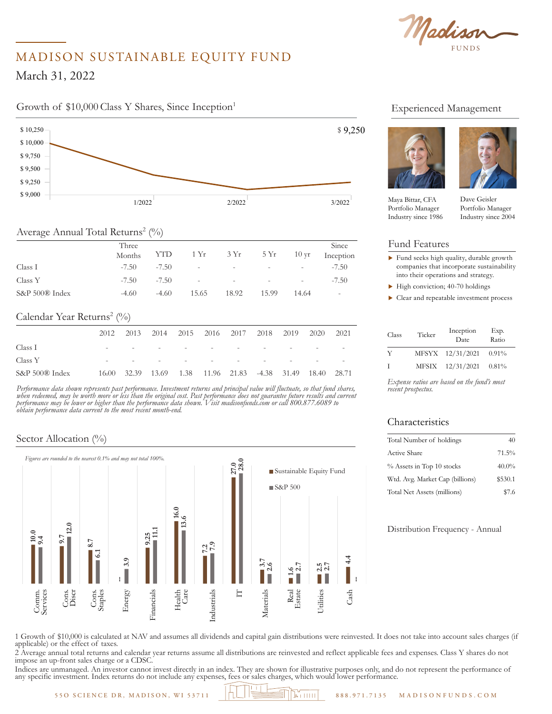FUNDS  $M_{\rm A}$   $\sim$ Time Period: 4/1/2012 to 3/31/2022

# MADISON SUSTAINABLE EQUITY FUND

 $1, 2022$  $\overline{10}$ March 31, 2022

## Growth of \$10,000 Class Y Shares, Since Inception<sup>1</sup>



### Average Annual Total Returns<sup>2</sup> (%)

|                | Three<br>Months | YTD     |                             | $1 Yr$ $3 Yr$ $5 Yr$                                          |                          | $10 \,\mathrm{yr}$       | Since<br>Inception       |
|----------------|-----------------|---------|-----------------------------|---------------------------------------------------------------|--------------------------|--------------------------|--------------------------|
| Class I        | $-7.50$         | $-7.50$ | $\mathcal{L}_{\mathcal{A}}$ | $\mathcal{L}^{\mathcal{L}}$ and $\mathcal{L}^{\mathcal{L}}$ . | $\sim$                   | $\overline{\phantom{a}}$ | $-7.50$                  |
| Class Y        | $-7.50$         | $-7.50$ | $\sim$                      | $\overline{\phantom{a}}$                                      | $\overline{\phantom{a}}$ | $\overline{\phantom{a}}$ | $-7.50$                  |
| S&P 500® Index | $-4.60$         | $-4.60$ | 15.65                       | 18.92                                                         | 15.99                    | 14.64                    | $\overline{\phantom{a}}$ |

#### Calendar Year Returns<sup>2</sup> (%)

|                | 2012                     |  |        | 2013 2014 2015 2016 2017 2018 2019                         |                          | 2020                     | 2021 |
|----------------|--------------------------|--|--------|------------------------------------------------------------|--------------------------|--------------------------|------|
| Class I        | $\overline{\phantom{a}}$ |  | $\sim$ | $\sim$                                                     | $\overline{\phantom{0}}$ | $\overline{\phantom{a}}$ |      |
| Class Y        | $\overline{\phantom{0}}$ |  | $\sim$ | $\sim$                                                     |                          |                          |      |
| S&P 500® Index |                          |  |        | 16.00 32.39 13.69 1.38 11.96 21.83 -4.38 31.49 18.40 28.71 |                          |                          |      |

*Performance data shown represents past performance. Investment returns and principal value will fluctuate, so that fund shares, when redeemed, may be worth more or less than the original cost. Past performance does not guarantee future results and current performance may be lower or higher than the performance data shown. Visit madisonfunds.com or call 800.877.6089 to obtain performance data current to the most recent month-end.*

#### Sector Allocation (%)



## Experienced Management





Maya Bittar, CFA Portfolio Manager Industry since 1986

ntfolio Manager Portfolio Manager Dave Geisler Industry since 2004

#### Fund Features

- $\blacktriangleright$  Fund seeks high quality, durable growth companies that incorporate sustainability into their operations and strategy.
- $\blacktriangleright$  High conviction; 40-70 holdings
- $\blacktriangleright$  Clear and repeatable investment process

| Class       | Ticker | Inception<br>Date | Exp.<br>Ratio |
|-------------|--------|-------------------|---------------|
| Y           |        | MFSYX 12/31/2021  | 0.91%         |
| $\mathbf I$ | MFSIX  | 12/31/2021        | 0.81%         |

*Expense ratios are based on the fund's most recent prospectus.*

#### Characteristics

| Total Number of holdings        | 40       |
|---------------------------------|----------|
| Active Share                    | 71.5%    |
| % Assets in Top 10 stocks       | $40.0\%$ |
| Wtd. Avg. Market Cap (billions) | \$530.1  |
| Total Net Assets (millions)     | \$7.6    |

Distribution Frequency - Annual

1 Growth of \$10,000 is calculated at NAV and assumes all dividends and capital gain distributions were reinvested. It does not take into account sales charges (if applicable) or the effect of taxes.

2 Average annual total returns and calendar year returns assume all distributions are reinvested and reflect applicable fees and expenses. Class Y shares do not impose an up-front sales charge or a CDSC.

Indices are unmanaged. An investor cannot invest directly in an index. They are shown for illustrative purposes only, and do not represent the performance of any specific investment. Index returns do not include any expenses, fees or sales charges, which would lower performance.

**55O SCIENCE DR, MADISON, WI 53711 888.971.7135 M ADISONFUNDS.COM**